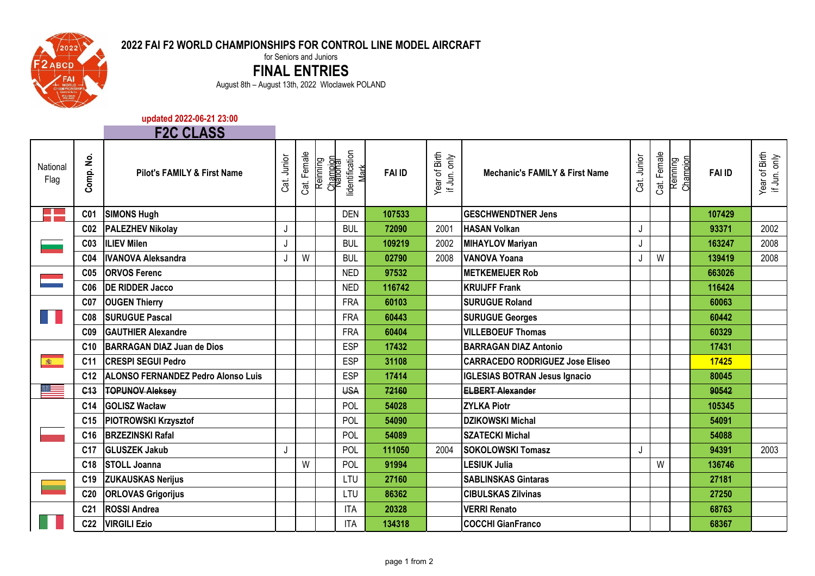

**Contract** 

## **2022 FAI F2 WORLD CHAMPIONSHIPS FOR CONTROL LINE MODEL AIRCRAFT**

for Seniors and Juniors

**FINAL ENTRIES**

August 8th – August 13th, 2022 Wloclawek POLAND

## **updated 2022-06-21 23:00**

|                          |                             | <b>F2C CLASS</b>                       |             |             |          |                                                 |               |                               |                                           |             |             |                      |               |                               |
|--------------------------|-----------------------------|----------------------------------------|-------------|-------------|----------|-------------------------------------------------|---------------|-------------------------------|-------------------------------------------|-------------|-------------|----------------------|---------------|-------------------------------|
| National<br>Flag         | $\dot{\mathbf{z}}$<br>Comp. | <b>Pilot's FAMILY &amp; First Name</b> | Cat. Junior | Cat. Female | Reinning | lidentification<br>Champion<br>National<br>Mark | <b>FAI ID</b> | Year of Birth<br>if Jun. only | <b>Mechanic's FAMILY &amp; First Name</b> | Cat. Junior | Cat. Female | Reinning<br>Champion | <b>FAI ID</b> | Year of Birth<br>if Jun. only |
|                          | C <sub>01</sub>             | <b>SIMONS Hugh</b>                     |             |             |          | <b>DEN</b>                                      | 107533        |                               | <b>GESCHWENDTNER Jens</b>                 |             |             |                      | 107429        |                               |
|                          | C <sub>02</sub>             | <b>PALEZHEV Nikolay</b>                | J           |             |          | <b>BUL</b>                                      | 72090         | 2001                          | <b>HASAN Volkan</b>                       | J           |             |                      | 93371         | 2002                          |
|                          | C <sub>03</sub>             | <b>ILIEV Milen</b>                     | J           |             |          | <b>BUL</b>                                      | 109219        | 2002                          | <b>MIHAYLOV Mariyan</b>                   | J           |             |                      | 163247        | 2008                          |
|                          | C <sub>04</sub>             | <b>IIVANOVA Aleksandra</b>             | J           | W           |          | <b>BUL</b>                                      | 02790         | 2008                          | <b>IVANOVA Yoana</b>                      | J           | W           |                      | 139419        | 2008                          |
|                          | C <sub>05</sub>             | <b>ORVOS Ferenc</b>                    |             |             |          | <b>NED</b>                                      | 97532         |                               | <b>METKEMEIJER Rob</b>                    |             |             |                      | 663026        |                               |
|                          | C <sub>06</sub>             | <b>DE RIDDER Jacco</b>                 |             |             |          | <b>NED</b>                                      | 116742        |                               | <b>KRUIJFF Frank</b>                      |             |             |                      | 116424        |                               |
|                          | C <sub>07</sub>             | <b>OUGEN Thierry</b>                   |             |             |          | <b>FRA</b>                                      | 60103         |                               | <b>SURUGUE Roland</b>                     |             |             |                      | 60063         |                               |
| H.                       | C <sub>08</sub>             | <b>SURUGUE Pascal</b>                  |             |             |          | <b>FRA</b>                                      | 60443         |                               | <b>SURUGUE Georges</b>                    |             |             |                      | 60442         |                               |
|                          | C <sub>09</sub>             | <b>GAUTHIER Alexandre</b>              |             |             |          | <b>FRA</b>                                      | 60404         |                               | <b>VILLEBOEUF Thomas</b>                  |             |             |                      | 60329         |                               |
|                          | C10                         | <b>BARRAGAN DIAZ Juan de Dios</b>      |             |             |          | <b>ESP</b>                                      | 17432         |                               | <b>BARRAGAN DIAZ Antonio</b>              |             |             |                      | 17431         |                               |
| $\mathbb{R}$             | C <sub>11</sub>             | <b>CRESPI SEGUI Pedro</b>              |             |             |          | <b>ESP</b>                                      | 31108         |                               | <b>CARRACEDO RODRIGUEZ Jose Eliseo</b>    |             |             |                      | 17425         |                               |
|                          | C <sub>12</sub>             | ALONSO FERNANDEZ Pedro Alonso Luis     |             |             |          | <b>ESP</b>                                      | 17414         |                               | <b>IGLESIAS BOTRAN Jesus Ignacio</b>      |             |             |                      | 80045         |                               |
|                          | C <sub>13</sub>             | <b>TOPUNOV Aleksey</b>                 |             |             |          | <b>USA</b>                                      | 72160         |                               | <b>ELBERT Alexander</b>                   |             |             |                      | 90542         |                               |
|                          | C <sub>14</sub>             | <b>GOLISZ Wacław</b>                   |             |             |          | POL                                             | 54028         |                               | <b>ZYLKA Piotr</b>                        |             |             |                      | 105345        |                               |
|                          | C <sub>15</sub>             | <b>PIOTROWSKI Krzysztof</b>            |             |             |          | POL                                             | 54090         |                               | <b>DZIKOWSKI Michal</b>                   |             |             |                      | 54091         |                               |
|                          | C <sub>16</sub>             | <b>BRZEZINSKI Rafal</b>                |             |             |          | POL                                             | 54089         |                               | <b>SZATECKI Michal</b>                    |             |             |                      | 54088         |                               |
|                          | C <sub>17</sub>             | <b>GLUSZEK Jakub</b>                   | J           |             |          | POL                                             | 111050        | 2004                          | <b>SOKOLOWSKI Tomasz</b>                  | J           |             |                      | 94391         | 2003                          |
|                          | C18                         | <b>STOLL Joanna</b>                    |             | W           |          | POL                                             | 91994         |                               | <b>LESIUK Julia</b>                       |             | W           |                      | 136746        |                               |
| $\overline{\phantom{a}}$ | C <sub>19</sub>             | <b>ZUKAUSKAS Nerijus</b>               |             |             |          | LTU                                             | 27160         |                               | <b>SABLINSKAS Gintaras</b>                |             |             |                      | 27181         |                               |
|                          | C <sub>20</sub>             | <b>ORLOVAS Grigorijus</b>              |             |             |          | LTU                                             | 86362         |                               | <b>CIBULSKAS Zilvinas</b>                 |             |             |                      | 27250         |                               |
|                          | C <sub>21</sub>             | <b>ROSSI Andrea</b>                    |             |             |          | <b>ITA</b>                                      | 20328         |                               | <b>VERRI Renato</b>                       |             |             |                      | 68763         |                               |
|                          | C <sub>22</sub>             | <b>VIRGILI Ezio</b>                    |             |             |          | <b>ITA</b>                                      | 134318        |                               | <b>COCCHI GianFranco</b>                  |             |             |                      | 68367         |                               |